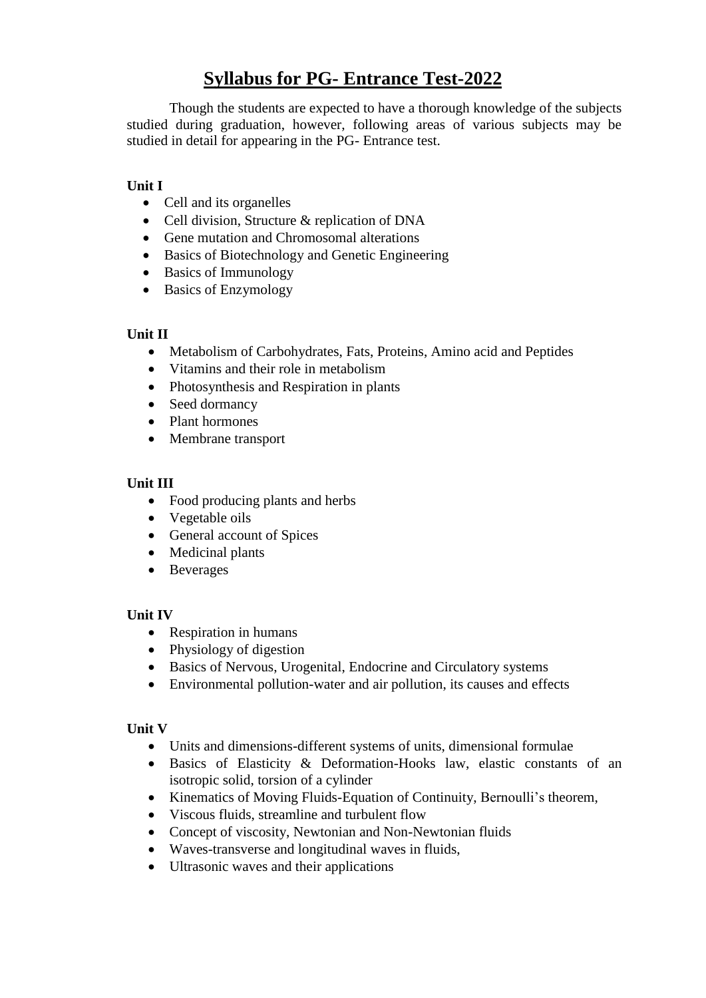# **Syllabus for PG- Entrance Test-2022**

Though the students are expected to have a thorough knowledge of the subjects studied during graduation, however, following areas of various subjects may be studied in detail for appearing in the PG- Entrance test.

## **Unit I**

- Cell and its organelles
- Cell division, Structure & replication of DNA
- Gene mutation and Chromosomal alterations
- Basics of Biotechnology and Genetic Engineering
- Basics of Immunology
- Basics of Enzymology

#### **Unit II**

- Metabolism of Carbohydrates, Fats, Proteins, Amino acid and Peptides
- Vitamins and their role in metabolism
- Photosynthesis and Respiration in plants
- Seed dormancy
- Plant hormones
- Membrane transport

#### **Unit III**

- Food producing plants and herbs
- Vegetable oils
- General account of Spices
- Medicinal plants
- Beverages

#### **Unit IV**

- Respiration in humans
- Physiology of digestion
- Basics of Nervous, Urogenital, Endocrine and Circulatory systems
- Environmental pollution-water and air pollution, its causes and effects

#### **Unit V**

- Units and dimensions-different systems of units, dimensional formulae
- Basics of Elasticity & Deformation-Hooks law, elastic constants of an isotropic solid, torsion of a cylinder
- Kinematics of Moving Fluids-Equation of Continuity, Bernoulli's theorem,
- Viscous fluids, streamline and turbulent flow
- Concept of viscosity, Newtonian and Non-Newtonian fluids
- Waves-transverse and longitudinal waves in fluids,
- Ultrasonic waves and their applications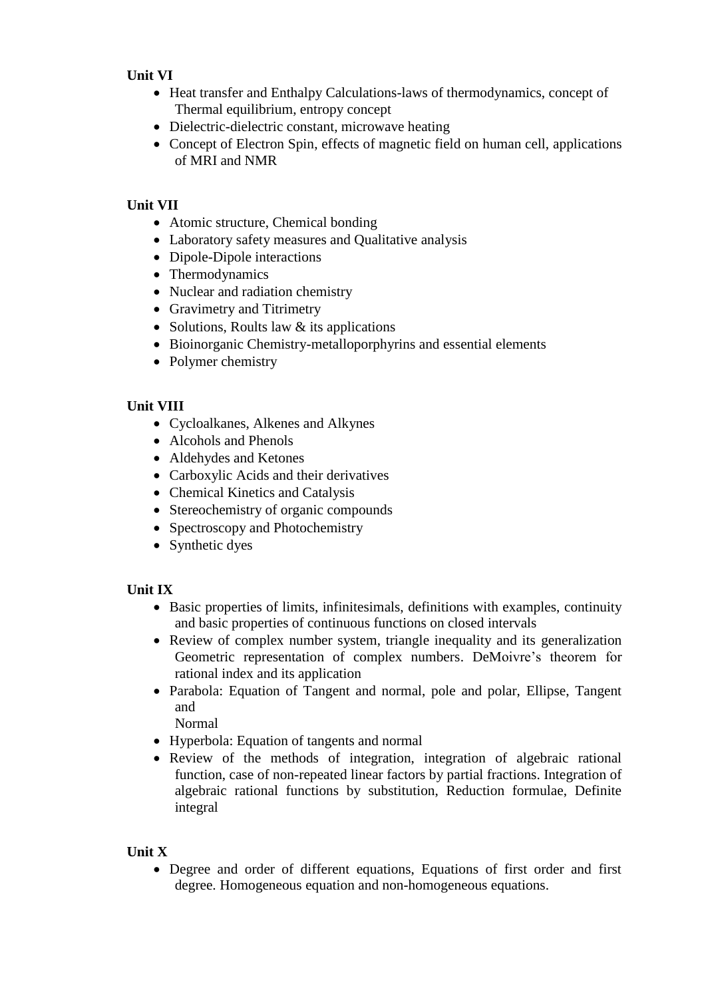## **Unit VI**

- Heat transfer and Enthalpy Calculations-laws of thermodynamics, concept of Thermal equilibrium, entropy concept
- Dielectric-dielectric constant, microwave heating
- Concept of Electron Spin, effects of magnetic field on human cell, applications of MRI and NMR

# **Unit VII**

- Atomic structure, Chemical bonding
- Laboratory safety measures and Qualitative analysis
- Dipole-Dipole interactions
- Thermodynamics
- Nuclear and radiation chemistry
- Gravimetry and Titrimetry
- Solutions, Roults law  $&$  its applications
- Bioinorganic Chemistry-metalloporphyrins and essential elements
- Polymer chemistry

## **Unit VIII**

- Cycloalkanes, Alkenes and Alkynes
- Alcohols and Phenols
- Aldehydes and Ketones
- Carboxylic Acids and their derivatives
- Chemical Kinetics and Catalysis
- Stereochemistry of organic compounds
- Spectroscopy and Photochemistry
- Synthetic dyes

#### **Unit IX**

- Basic properties of limits, infinitesimals, definitions with examples, continuity and basic properties of continuous functions on closed intervals
- Review of complex number system, triangle inequality and its generalization Geometric representation of complex numbers. DeMoivre's theorem for rational index and its application
- Parabola: Equation of Tangent and normal, pole and polar, Ellipse, Tangent and

Normal

- Hyperbola: Equation of tangents and normal
- Review of the methods of integration, integration of algebraic rational function, case of non-repeated linear factors by partial fractions. Integration of algebraic rational functions by substitution, Reduction formulae, Definite integral

#### **Unit X**

 Degree and order of different equations, Equations of first order and first degree. Homogeneous equation and non-homogeneous equations.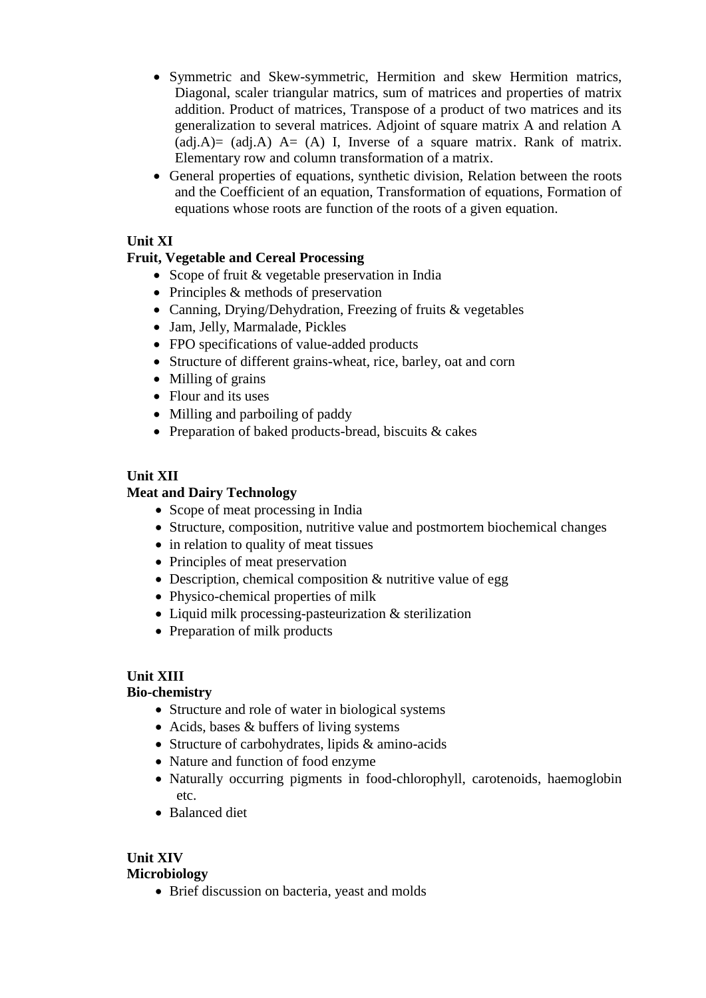- Symmetric and Skew-symmetric, Hermition and skew Hermition matrics, Diagonal, scaler triangular matrics, sum of matrices and properties of matrix addition. Product of matrices, Transpose of a product of two matrices and its generalization to several matrices. Adjoint of square matrix A and relation A  $(adi,A)=(adi,A)$   $A=(A)$  I, Inverse of a square matrix. Rank of matrix. Elementary row and column transformation of a matrix.
- General properties of equations, synthetic division, Relation between the roots and the Coefficient of an equation, Transformation of equations, Formation of equations whose roots are function of the roots of a given equation.

## **Unit XI**

# **Fruit, Vegetable and Cereal Processing**

- Scope of fruit & vegetable preservation in India
- Principles  $&$  methods of preservation
- Canning, Drying/Dehydration, Freezing of fruits & vegetables
- Jam, Jelly, Marmalade, Pickles
- FPO specifications of value-added products
- Structure of different grains-wheat, rice, barley, oat and corn
- Milling of grains
- Flour and its uses
- Milling and parboiling of paddy
- Preparation of baked products-bread, biscuits & cakes

## **Unit XII**

#### **Meat and Dairy Technology**

- Scope of meat processing in India
- Structure, composition, nutritive value and postmortem biochemical changes
- in relation to quality of meat tissues
- Principles of meat preservation
- Description, chemical composition & nutritive value of egg
- Physico-chemical properties of milk
- Liquid milk processing-pasteurization & sterilization
- Preparation of milk products

#### **Unit XIII**

#### **Bio-chemistry**

- Structure and role of water in biological systems
- Acids, bases & buffers of living systems
- Structure of carbohydrates, lipids & amino-acids
- Nature and function of food enzyme
- Naturally occurring pigments in food-chlorophyll, carotenoids, haemoglobin etc.
- Balanced diet

# **Unit XIV**

#### **Microbiology**

• Brief discussion on bacteria, yeast and molds